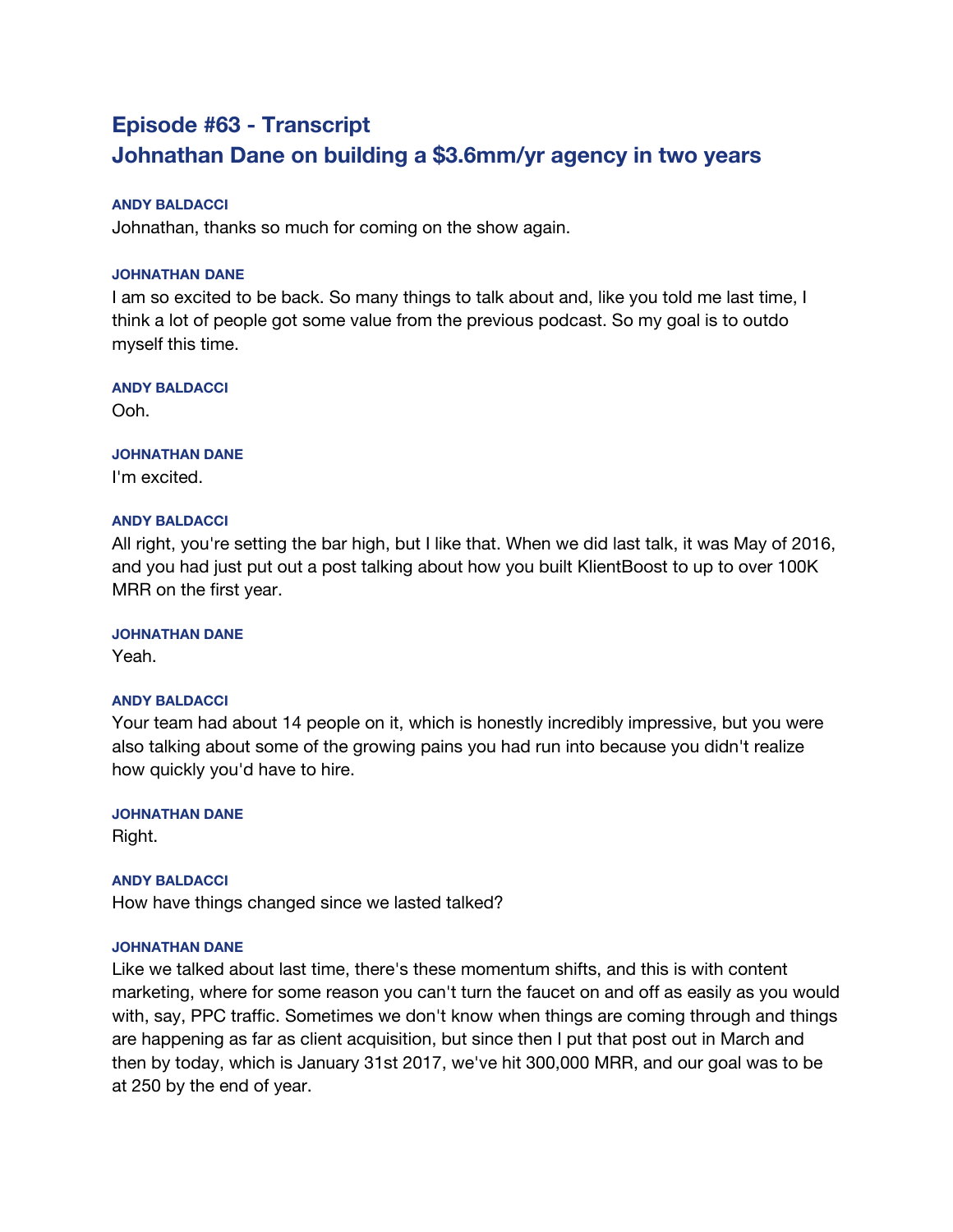# **Episode #63 - Transcript Johnathan Dane on building a \$3.6mm/yr agency in two years**

## **ANDY BALDACCI**

Johnathan, thanks so much for coming on the show again.

## **JOHNATHAN DANE**

I am so excited to be back. So many things to talk about and, like you told me last time, I think a lot of people got some value from the previous podcast. So my goal is to outdo myself this time.

## **ANDY BALDACCI**

Ooh.

## **JOHNATHAN DANE**

I'm excited.

## **ANDY BALDACCI**

All right, you're setting the bar high, but I like that. When we did last talk, it was May of 2016, and you had just put out a post talking about how you built KlientBoost to up to over 100K MRR on the first year.

## **JOHNATHAN DANE**

Yeah.

## **ANDY BALDACCI**

Your team had about 14 people on it, which is honestly incredibly impressive, but you were also talking about some of the growing pains you had run into because you didn't realize how quickly you'd have to hire.

## **JOHNATHAN DANE**

Right.

## **ANDY BALDACCI**

How have things changed since we lasted talked?

## **JOHNATHAN DANE**

Like we talked about last time, there's these momentum shifts, and this is with content marketing, where for some reason you can't turn the faucet on and off as easily as you would with, say, PPC traffic. Sometimes we don't know when things are coming through and things are happening as far as client acquisition, but since then I put that post out in March and then by today, which is January 31st 2017, we've hit 300,000 MRR, and our goal was to be at 250 by the end of year.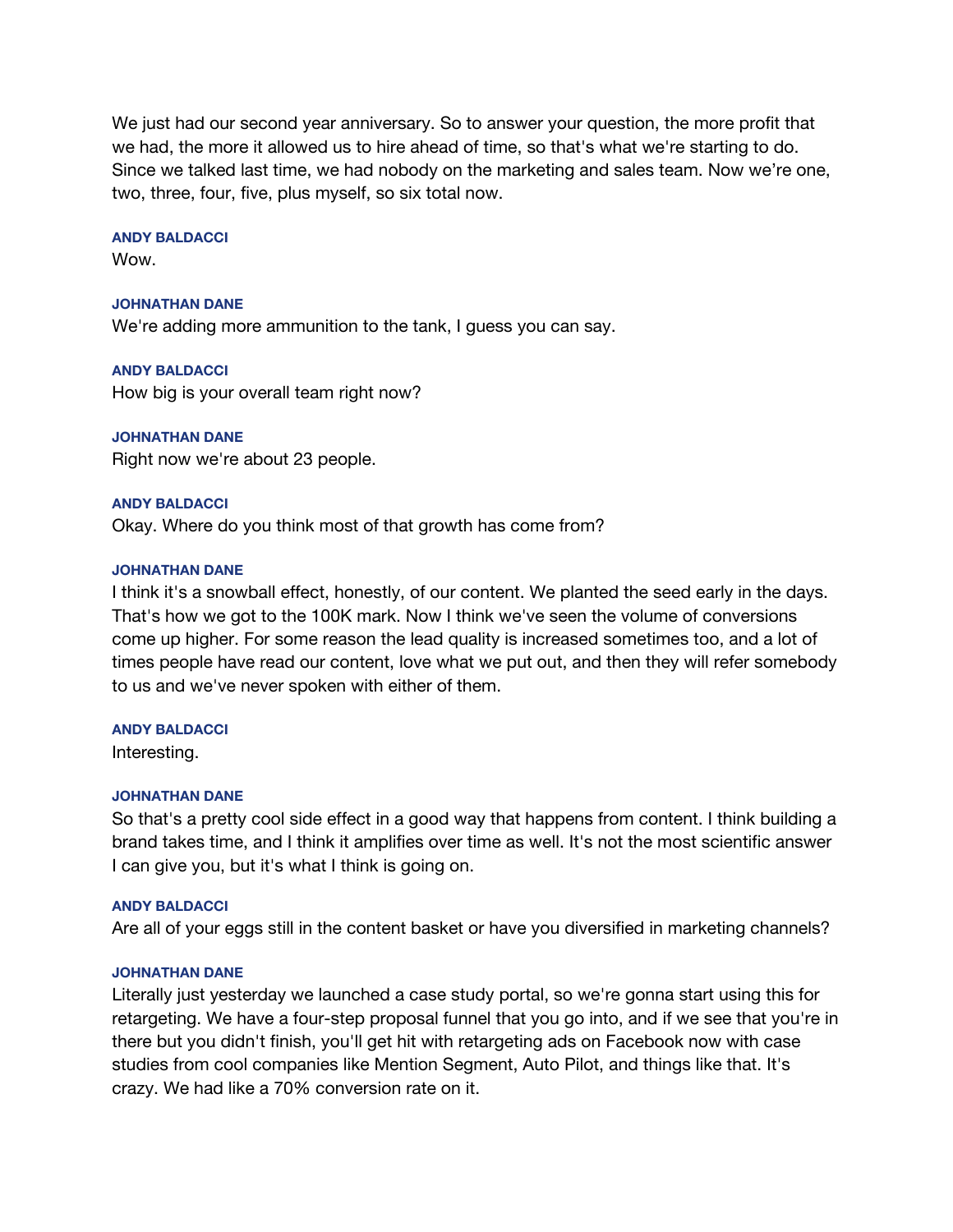We just had our second year anniversary. So to answer your question, the more profit that we had, the more it allowed us to hire ahead of time, so that's what we're starting to do. Since we talked last time, we had nobody on the marketing and sales team. Now we're one, two, three, four, five, plus myself, so six total now.

### **ANDY BALDACCI**

Wow.

### **JOHNATHAN DANE**

We're adding more ammunition to the tank, I guess you can say.

**ANDY BALDACCI** How big is your overall team right now?

**JOHNATHAN DANE** Right now we're about 23 people.

### **ANDY BALDACCI**

Okay. Where do you think most of that growth has come from?

### **JOHNATHAN DANE**

I think it's a snowball effect, honestly, of our content. We planted the seed early in the days. That's how we got to the 100K mark. Now I think we've seen the volume of conversions come up higher. For some reason the lead quality is increased sometimes too, and a lot of times people have read our content, love what we put out, and then they will refer somebody to us and we've never spoken with either of them.

### **ANDY BALDACCI**

Interesting.

### **JOHNATHAN DANE**

So that's a pretty cool side effect in a good way that happens from content. I think building a brand takes time, and I think it amplifies over time as well. It's not the most scientific answer I can give you, but it's what I think is going on.

### **ANDY BALDACCI**

Are all of your eggs still in the content basket or have you diversified in marketing channels?

### **JOHNATHAN DANE**

Literally just yesterday we launched a case study portal, so we're gonna start using this for retargeting. We have a four-step proposal funnel that you go into, and if we see that you're in there but you didn't finish, you'll get hit with retargeting ads on Facebook now with case studies from cool companies like Mention Segment, Auto Pilot, and things like that. It's crazy. We had like a 70% conversion rate on it.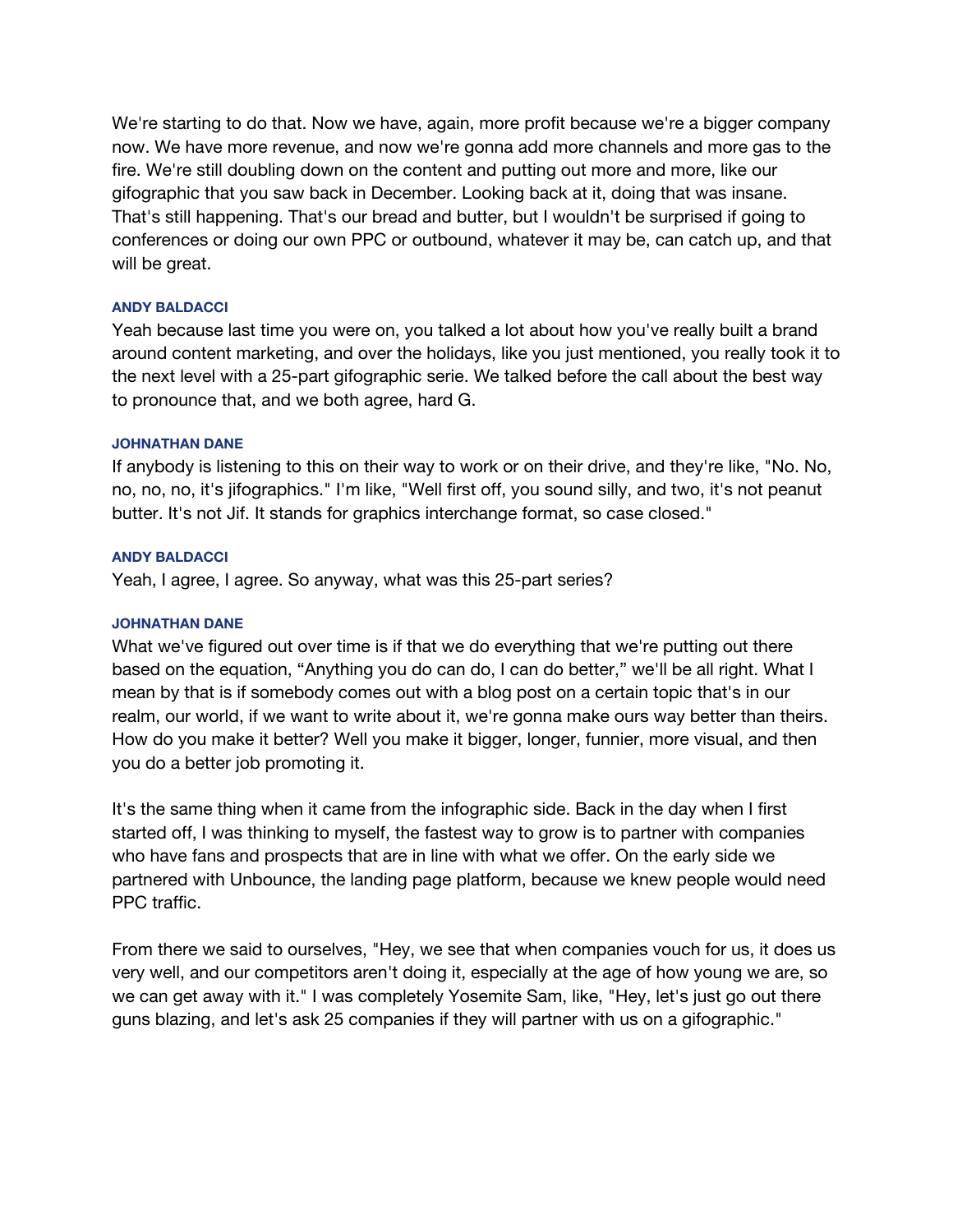We're starting to do that. Now we have, again, more profit because we're a bigger company now. We have more revenue, and now we're gonna add more channels and more gas to the fire. We're still doubling down on the content and putting out more and more, like our gifographic that you saw back in December. Looking back at it, doing that was insane. That's still happening. That's our bread and butter, but I wouldn't be surprised if going to conferences or doing our own PPC or outbound, whatever it may be, can catch up, and that will be great.

### **ANDY BALDACCI**

Yeah because last time you were on, you talked a lot about how you've really built a brand around content marketing, and over the holidays, like you just mentioned, you really took it to the next level with a 25-part gifographic serie. We talked before the call about the best way to pronounce that, and we both agree, hard G.

## **JOHNATHAN DANE**

If anybody is listening to this on their way to work or on their drive, and they're like, "No. No, no, no, no, it's jifographics." I'm like, "Well first off, you sound silly, and two, it's not peanut butter. It's not Jif. It stands for graphics interchange format, so case closed."

### **ANDY BALDACCI**

Yeah, I agree, I agree. So anyway, what was this 25-part series?

## **JOHNATHAN DANE**

What we've figured out over time is if that we do everything that we're putting out there based on the equation, "Anything you do can do, I can do better," we'll be all right. What I mean by that is if somebody comes out with a blog post on a certain topic that's in our realm, our world, if we want to write about it, we're gonna make ours way better than theirs. How do you make it better? Well you make it bigger, longer, funnier, more visual, and then you do a better job promoting it.

It's the same thing when it came from the infographic side. Back in the day when I first started off, I was thinking to myself, the fastest way to grow is to partner with companies who have fans and prospects that are in line with what we offer. On the early side we partnered with Unbounce, the landing page platform, because we knew people would need PPC traffic.

From there we said to ourselves, "Hey, we see that when companies vouch for us, it does us very well, and our competitors aren't doing it, especially at the age of how young we are, so we can get away with it." I was completely Yosemite Sam, like, "Hey, let's just go out there guns blazing, and let's ask 25 companies if they will partner with us on a gifographic."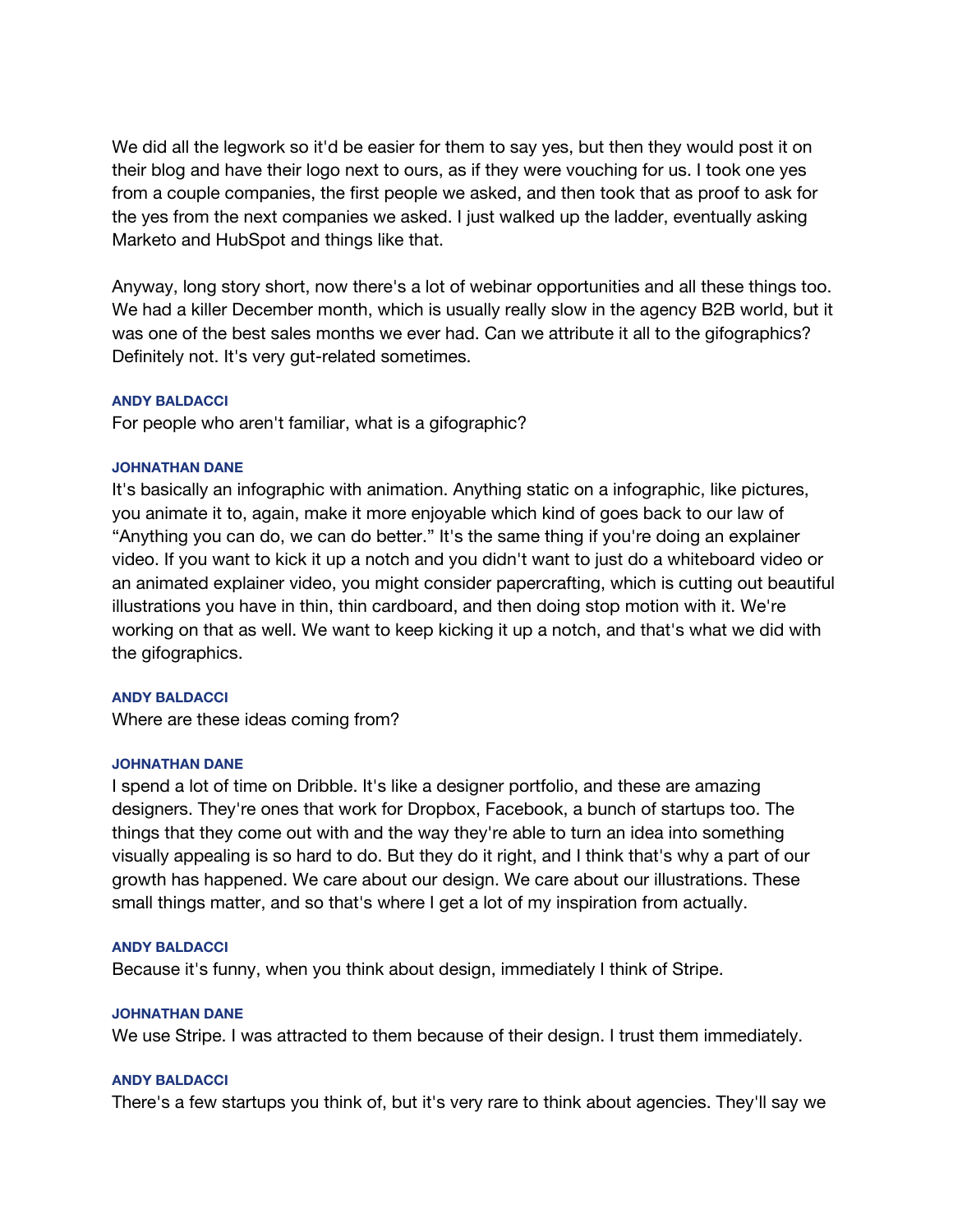We did all the legwork so it'd be easier for them to say yes, but then they would post it on their blog and have their logo next to ours, as if they were vouching for us. I took one yes from a couple companies, the first people we asked, and then took that as proof to ask for the yes from the next companies we asked. I just walked up the ladder, eventually asking Marketo and HubSpot and things like that.

Anyway, long story short, now there's a lot of webinar opportunities and all these things too. We had a killer December month, which is usually really slow in the agency B2B world, but it was one of the best sales months we ever had. Can we attribute it all to the gifographics? Definitely not. It's very gut-related sometimes.

### **ANDY BALDACCI**

For people who aren't familiar, what is a gifographic?

### **JOHNATHAN DANE**

It's basically an infographic with animation. Anything static on a infographic, like pictures, you animate it to, again, make it more enjoyable which kind of goes back to our law of "Anything you can do, we can do better." It's the same thing if you're doing an explainer video. If you want to kick it up a notch and you didn't want to just do a whiteboard video or an animated explainer video, you might consider papercrafting, which is cutting out beautiful illustrations you have in thin, thin cardboard, and then doing stop motion with it. We're working on that as well. We want to keep kicking it up a notch, and that's what we did with the gifographics.

### **ANDY BALDACCI**

Where are these ideas coming from?

### **JOHNATHAN DANE**

I spend a lot of time on Dribble. It's like a designer portfolio, and these are amazing designers. They're ones that work for Dropbox, Facebook, a bunch of startups too. The things that they come out with and the way they're able to turn an idea into something visually appealing is so hard to do. But they do it right, and I think that's why a part of our growth has happened. We care about our design. We care about our illustrations. These small things matter, and so that's where I get a lot of my inspiration from actually.

### **ANDY BALDACCI**

Because it's funny, when you think about design, immediately I think of Stripe.

### **JOHNATHAN DANE**

We use Stripe. I was attracted to them because of their design. I trust them immediately.

### **ANDY BALDACCI**

There's a few startups you think of, but it's very rare to think about agencies. They'll say we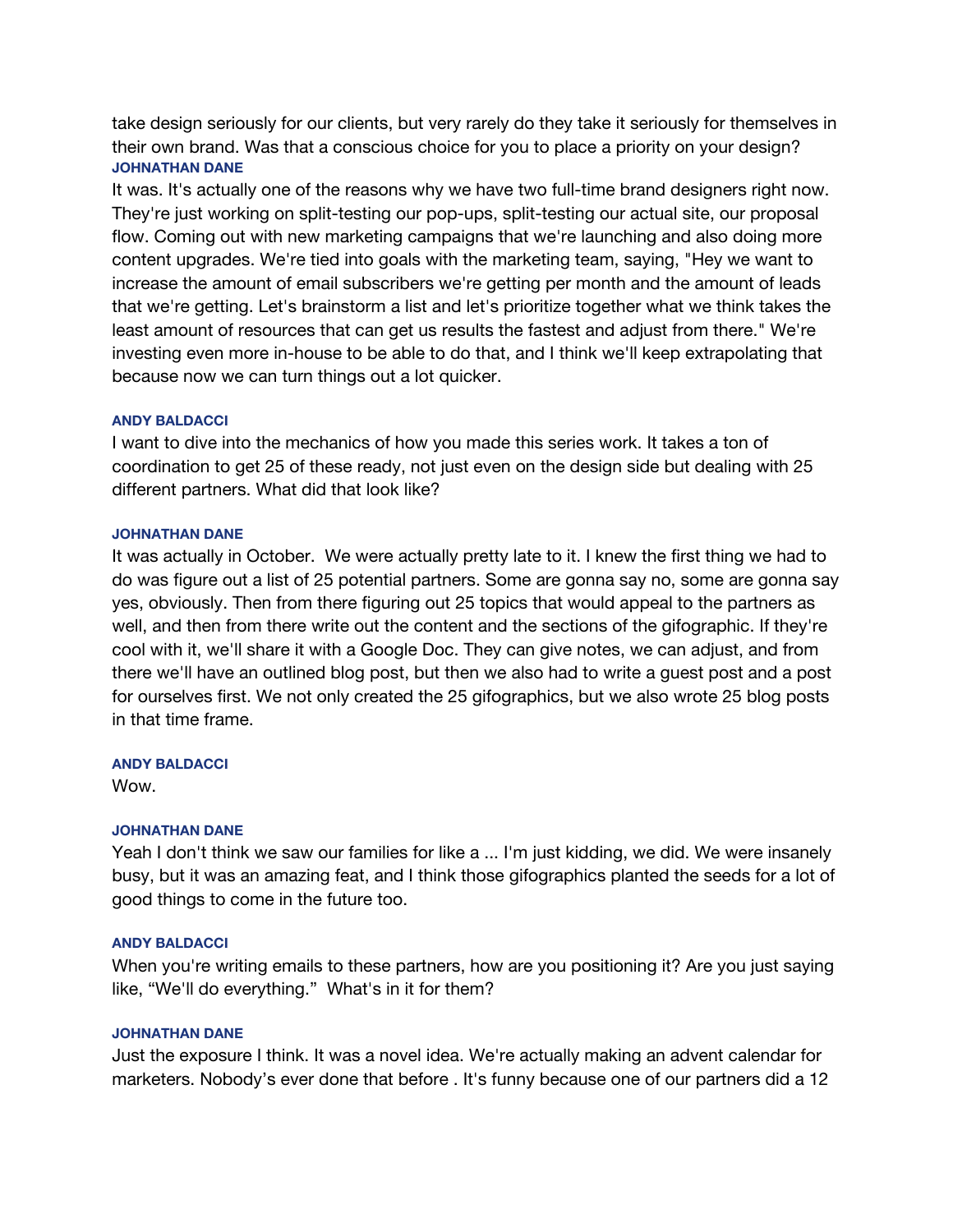take design seriously for our clients, but very rarely do they take it seriously for themselves in their own brand. Was that a conscious choice for you to place a priority on your design? **JOHNATHAN DANE**

It was. It's actually one of the reasons why we have two full-time brand designers right now. They're just working on split-testing our pop-ups, split-testing our actual site, our proposal flow. Coming out with new marketing campaigns that we're launching and also doing more content upgrades. We're tied into goals with the marketing team, saying, "Hey we want to increase the amount of email subscribers we're getting per month and the amount of leads that we're getting. Let's brainstorm a list and let's prioritize together what we think takes the least amount of resources that can get us results the fastest and adjust from there." We're investing even more in-house to be able to do that, and I think we'll keep extrapolating that because now we can turn things out a lot quicker.

## **ANDY BALDACCI**

I want to dive into the mechanics of how you made this series work. It takes a ton of coordination to get 25 of these ready, not just even on the design side but dealing with 25 different partners. What did that look like?

## **JOHNATHAN DANE**

It was actually in October. We were actually pretty late to it. I knew the first thing we had to do was figure out a list of 25 potential partners. Some are gonna say no, some are gonna say yes, obviously. Then from there figuring out 25 topics that would appeal to the partners as well, and then from there write out the content and the sections of the gifographic. If they're cool with it, we'll share it with a Google Doc. They can give notes, we can adjust, and from there we'll have an outlined blog post, but then we also had to write a guest post and a post for ourselves first. We not only created the 25 gifographics, but we also wrote 25 blog posts in that time frame.

### **ANDY BALDACCI**

Wow.

## **JOHNATHAN DANE**

Yeah I don't think we saw our families for like a ... I'm just kidding, we did. We were insanely busy, but it was an amazing feat, and I think those gifographics planted the seeds for a lot of good things to come in the future too.

### **ANDY BALDACCI**

When you're writing emails to these partners, how are you positioning it? Are you just saying like, "We'll do everything." What's in it for them?

### **JOHNATHAN DANE**

Just the exposure I think. It was a novel idea. We're actually making an advent calendar for marketers. Nobody's ever done that before . It's funny because one of our partners did a 12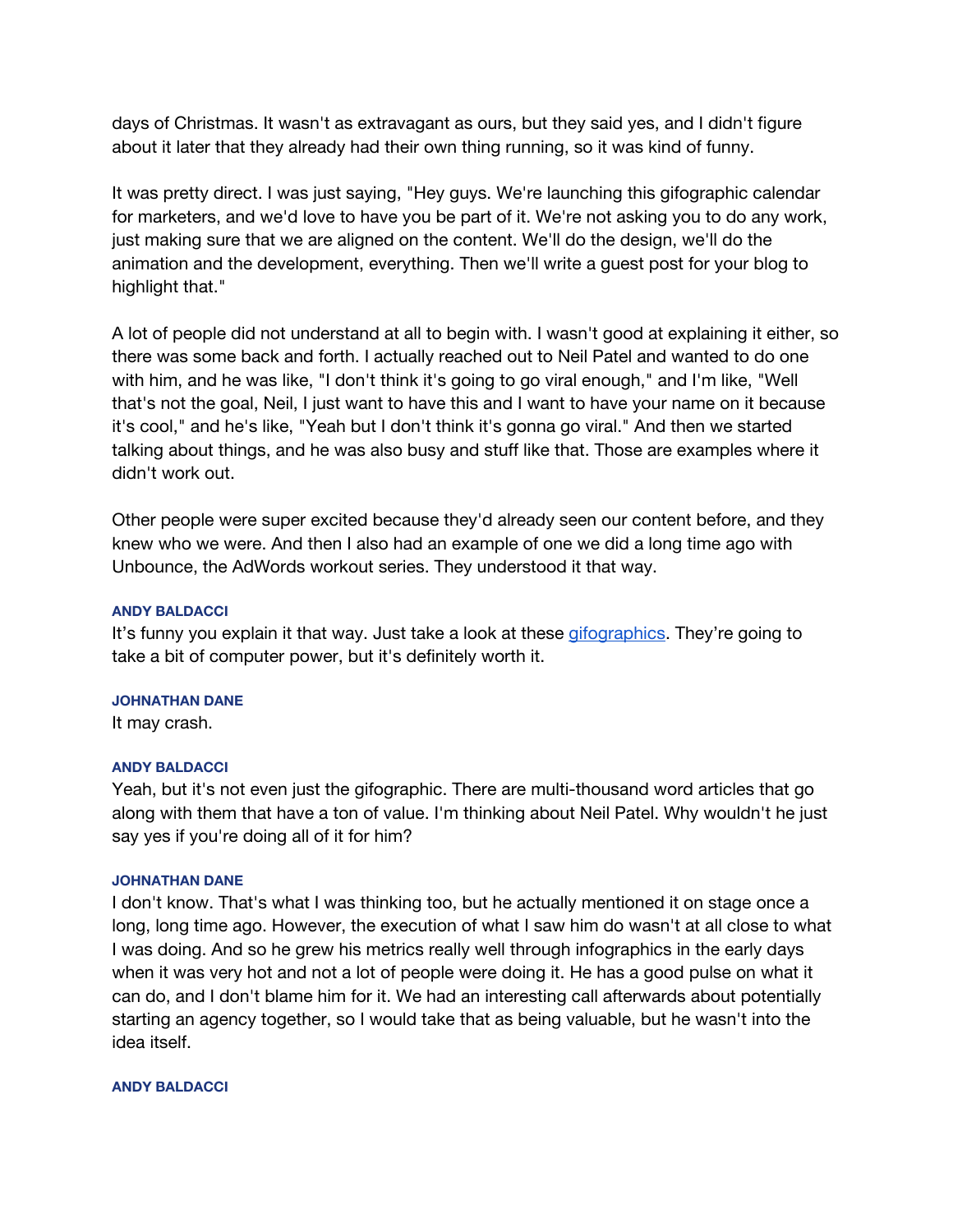days of Christmas. It wasn't as extravagant as ours, but they said yes, and I didn't figure about it later that they already had their own thing running, so it was kind of funny.

It was pretty direct. I was just saying, "Hey guys. We're launching this gifographic calendar for marketers, and we'd love to have you be part of it. We're not asking you to do any work, just making sure that we are aligned on the content. We'll do the design, we'll do the animation and the development, everything. Then we'll write a guest post for your blog to highlight that."

A lot of people did not understand at all to begin with. I wasn't good at explaining it either, so there was some back and forth. I actually reached out to Neil Patel and wanted to do one with him, and he was like, "I don't think it's going to go viral enough," and I'm like, "Well that's not the goal, Neil, I just want to have this and I want to have your name on it because it's cool," and he's like, "Yeah but I don't think it's gonna go viral." And then we started talking about things, and he was also busy and stuff like that. Those are examples where it didn't work out.

Other people were super excited because they'd already seen our content before, and they knew who we were. And then I also had an example of one we did a long time ago with Unbounce, the AdWords workout series. They understood it that way.

## **ANDY BALDACCI**

It's funny you explain it that way. Just take a look at these [gifographics.](https://klientboost.com/marketing-infographic/) They're going to take a bit of computer power, but it's definitely worth it.

### **JOHNATHAN DANE**

It may crash.

### **ANDY BALDACCI**

Yeah, but it's not even just the gifographic. There are multi-thousand word articles that go along with them that have a ton of value. I'm thinking about Neil Patel. Why wouldn't he just say yes if you're doing all of it for him?

## **JOHNATHAN DANE**

I don't know. That's what I was thinking too, but he actually mentioned it on stage once a long, long time ago. However, the execution of what I saw him do wasn't at all close to what I was doing. And so he grew his metrics really well through infographics in the early days when it was very hot and not a lot of people were doing it. He has a good pulse on what it can do, and I don't blame him for it. We had an interesting call afterwards about potentially starting an agency together, so I would take that as being valuable, but he wasn't into the idea itself.

## **ANDY BALDACCI**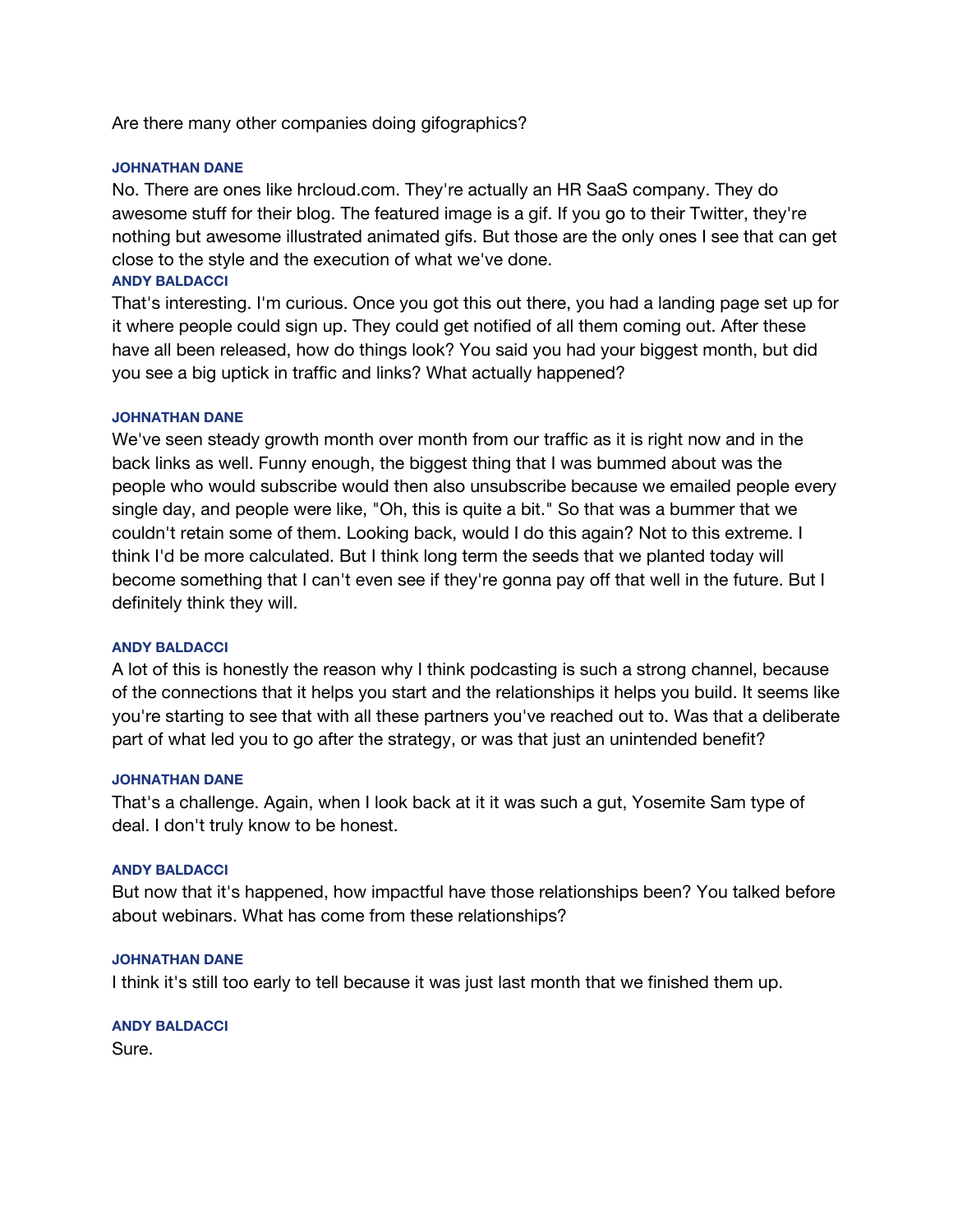Are there many other companies doing gifographics?

## **JOHNATHAN DANE**

No. There are ones like hrcloud.com. They're actually an HR SaaS company. They do awesome stuff for their blog. The featured image is a gif. If you go to their Twitter, they're nothing but awesome illustrated animated gifs. But those are the only ones I see that can get close to the style and the execution of what we've done. **ANDY BALDACCI**

That's interesting. I'm curious. Once you got this out there, you had a landing page set up for it where people could sign up. They could get notified of all them coming out. After these have all been released, how do things look? You said you had your biggest month, but did you see a big uptick in traffic and links? What actually happened?

## **JOHNATHAN DANE**

We've seen steady growth month over month from our traffic as it is right now and in the back links as well. Funny enough, the biggest thing that I was bummed about was the people who would subscribe would then also unsubscribe because we emailed people every single day, and people were like, "Oh, this is quite a bit." So that was a bummer that we couldn't retain some of them. Looking back, would I do this again? Not to this extreme. I think I'd be more calculated. But I think long term the seeds that we planted today will become something that I can't even see if they're gonna pay off that well in the future. But I definitely think they will.

## **ANDY BALDACCI**

A lot of this is honestly the reason why I think podcasting is such a strong channel, because of the connections that it helps you start and the relationships it helps you build. It seems like you're starting to see that with all these partners you've reached out to. Was that a deliberate part of what led you to go after the strategy, or was that just an unintended benefit?

### **JOHNATHAN DANE**

That's a challenge. Again, when I look back at it it was such a gut, Yosemite Sam type of deal. I don't truly know to be honest.

## **ANDY BALDACCI**

But now that it's happened, how impactful have those relationships been? You talked before about webinars. What has come from these relationships?

## **JOHNATHAN DANE**

I think it's still too early to tell because it was just last month that we finished them up.

**ANDY BALDACCI** Sure.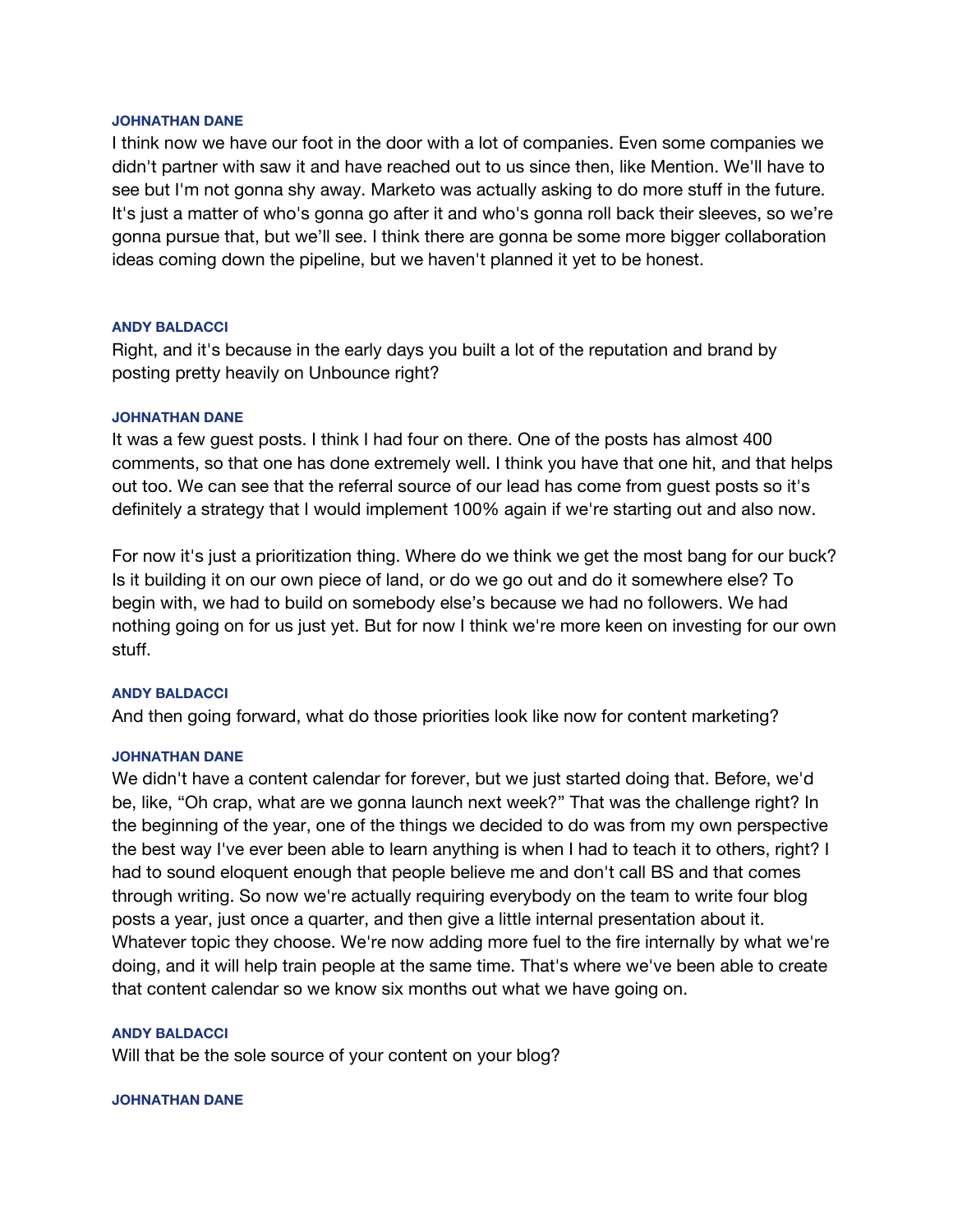### **JOHNATHAN DANE**

I think now we have our foot in the door with a lot of companies. Even some companies we didn't partner with saw it and have reached out to us since then, like Mention. We'll have to see but I'm not gonna shy away. Marketo was actually asking to do more stuff in the future. It's just a matter of who's gonna go after it and who's gonna roll back their sleeves, so we're gonna pursue that, but we'll see. I think there are gonna be some more bigger collaboration ideas coming down the pipeline, but we haven't planned it yet to be honest.

### **ANDY BALDACCI**

Right, and it's because in the early days you built a lot of the reputation and brand by posting pretty heavily on Unbounce right?

### **JOHNATHAN DANE**

It was a few guest posts. I think I had four on there. One of the posts has almost 400 comments, so that one has done extremely well. I think you have that one hit, and that helps out too. We can see that the referral source of our lead has come from guest posts so it's definitely a strategy that I would implement 100% again if we're starting out and also now.

For now it's just a prioritization thing. Where do we think we get the most bang for our buck? Is it building it on our own piece of land, or do we go out and do it somewhere else? To begin with, we had to build on somebody else's because we had no followers. We had nothing going on for us just yet. But for now I think we're more keen on investing for our own stuff.

### **ANDY BALDACCI**

And then going forward, what do those priorities look like now for content marketing?

### **JOHNATHAN DANE**

We didn't have a content calendar for forever, but we just started doing that. Before, we'd be, like, "Oh crap, what are we gonna launch next week?" That was the challenge right? In the beginning of the year, one of the things we decided to do was from my own perspective the best way I've ever been able to learn anything is when I had to teach it to others, right? I had to sound eloquent enough that people believe me and don't call BS and that comes through writing. So now we're actually requiring everybody on the team to write four blog posts a year, just once a quarter, and then give a little internal presentation about it. Whatever topic they choose. We're now adding more fuel to the fire internally by what we're doing, and it will help train people at the same time. That's where we've been able to create that content calendar so we know six months out what we have going on.

### **ANDY BALDACCI**

Will that be the sole source of your content on your blog?

### **JOHNATHAN DANE**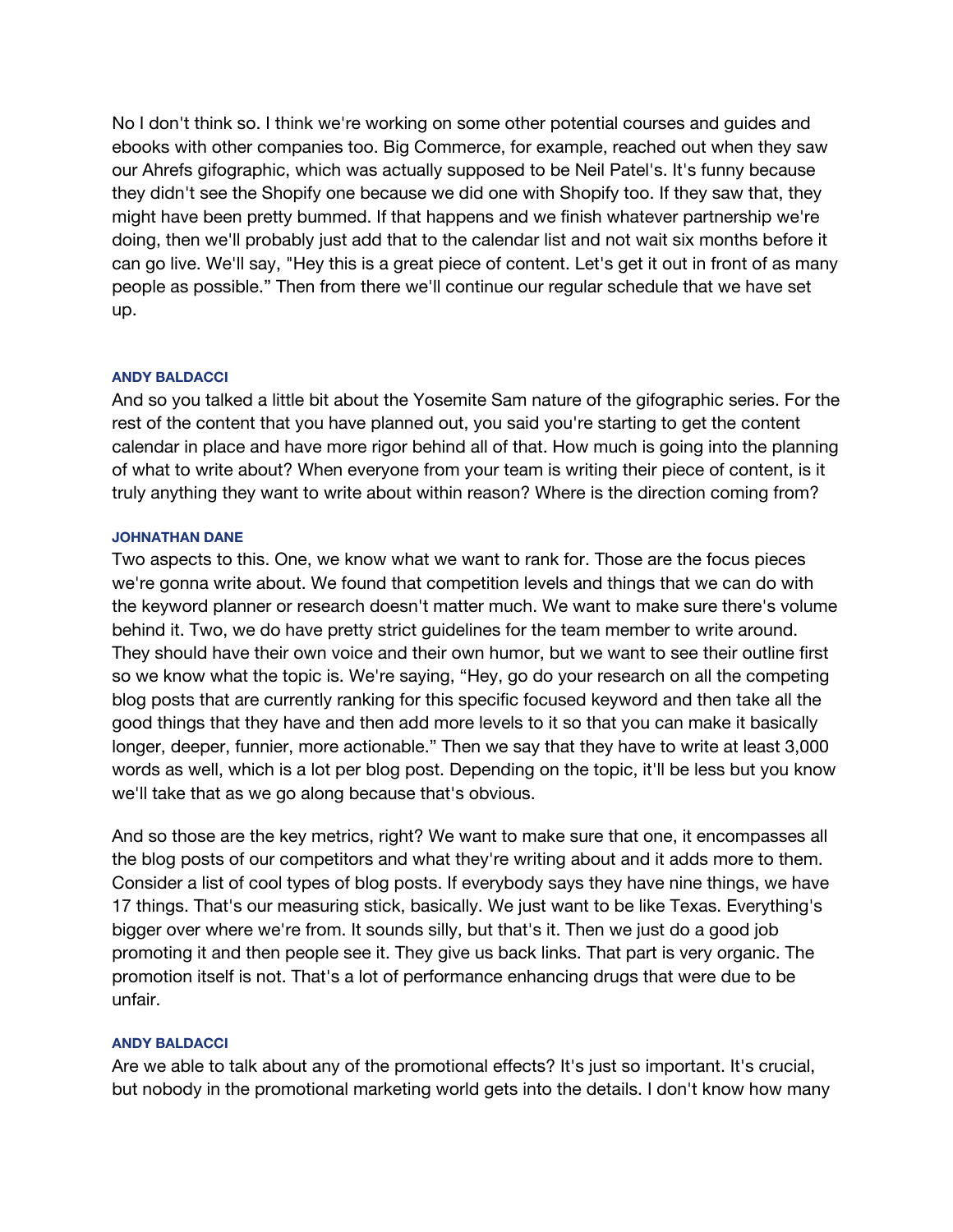No I don't think so. I think we're working on some other potential courses and guides and ebooks with other companies too. Big Commerce, for example, reached out when they saw our Ahrefs gifographic, which was actually supposed to be Neil Patel's. It's funny because they didn't see the Shopify one because we did one with Shopify too. If they saw that, they might have been pretty bummed. If that happens and we finish whatever partnership we're doing, then we'll probably just add that to the calendar list and not wait six months before it can go live. We'll say, "Hey this is a great piece of content. Let's get it out in front of as many people as possible." Then from there we'll continue our regular schedule that we have set up.

## **ANDY BALDACCI**

And so you talked a little bit about the Yosemite Sam nature of the gifographic series. For the rest of the content that you have planned out, you said you're starting to get the content calendar in place and have more rigor behind all of that. How much is going into the planning of what to write about? When everyone from your team is writing their piece of content, is it truly anything they want to write about within reason? Where is the direction coming from?

## **JOHNATHAN DANE**

Two aspects to this. One, we know what we want to rank for. Those are the focus pieces we're gonna write about. We found that competition levels and things that we can do with the keyword planner or research doesn't matter much. We want to make sure there's volume behind it. Two, we do have pretty strict guidelines for the team member to write around. They should have their own voice and their own humor, but we want to see their outline first so we know what the topic is. We're saying, "Hey, go do your research on all the competing blog posts that are currently ranking for this specific focused keyword and then take all the good things that they have and then add more levels to it so that you can make it basically longer, deeper, funnier, more actionable." Then we say that they have to write at least 3,000 words as well, which is a lot per blog post. Depending on the topic, it'll be less but you know we'll take that as we go along because that's obvious.

And so those are the key metrics, right? We want to make sure that one, it encompasses all the blog posts of our competitors and what they're writing about and it adds more to them. Consider a list of cool types of blog posts. If everybody says they have nine things, we have 17 things. That's our measuring stick, basically. We just want to be like Texas. Everything's bigger over where we're from. It sounds silly, but that's it. Then we just do a good job promoting it and then people see it. They give us back links. That part is very organic. The promotion itself is not. That's a lot of performance enhancing drugs that were due to be unfair.

### **ANDY BALDACCI**

Are we able to talk about any of the promotional effects? It's just so important. It's crucial, but nobody in the promotional marketing world gets into the details. I don't know how many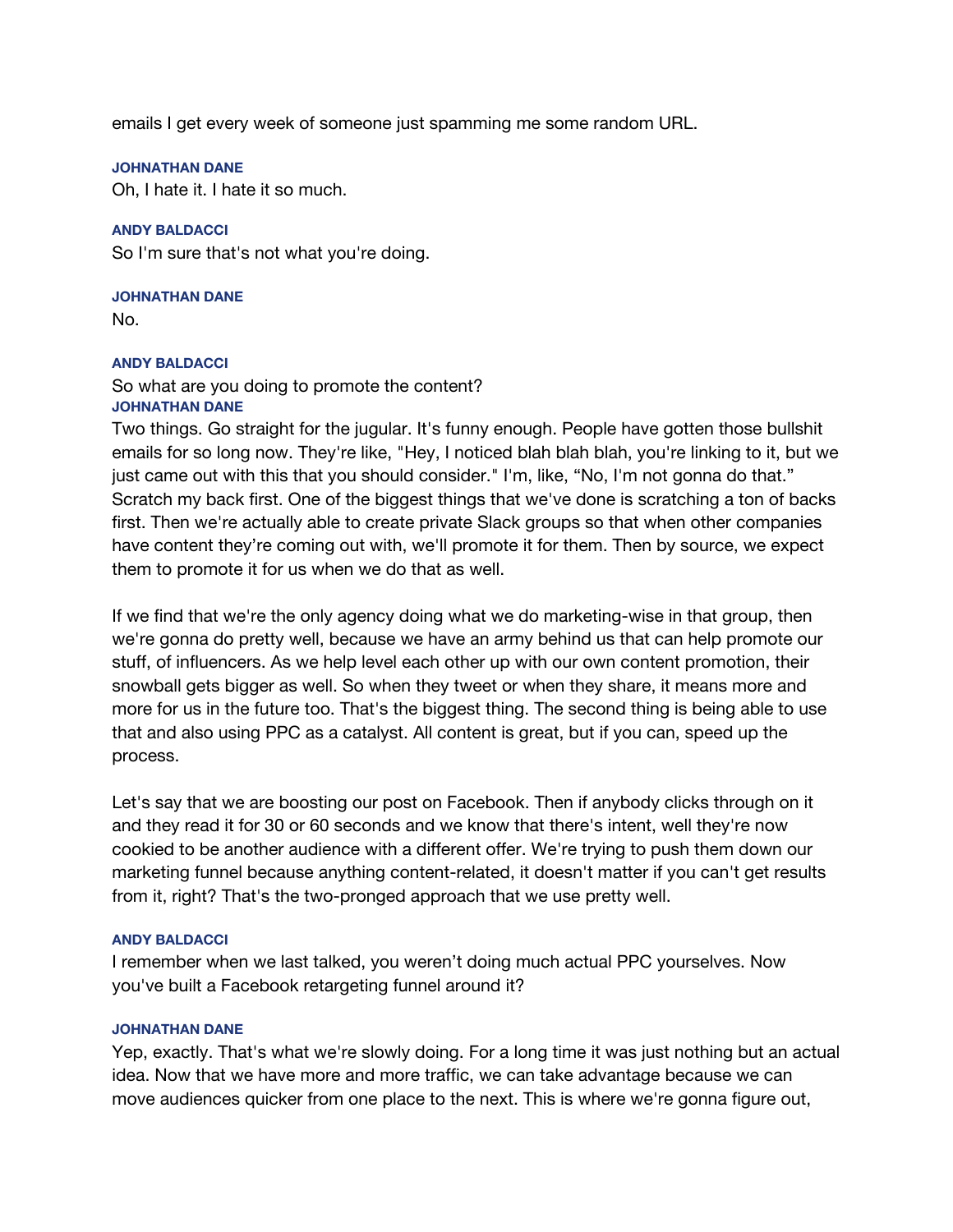emails I get every week of someone just spamming me some random URL.

## **JOHNATHAN DANE**

Oh, I hate it. I hate it so much.

## **ANDY BALDACCI**

So I'm sure that's not what you're doing.

## **JOHNATHAN DANE**

No.

## **ANDY BALDACCI**

So what are you doing to promote the content? **JOHNATHAN DANE**

Two things. Go straight for the jugular. It's funny enough. People have gotten those bullshit emails for so long now. They're like, "Hey, I noticed blah blah blah, you're linking to it, but we just came out with this that you should consider." I'm, like, "No, I'm not gonna do that." Scratch my back first. One of the biggest things that we've done is scratching a ton of backs first. Then we're actually able to create private Slack groups so that when other companies have content they're coming out with, we'll promote it for them. Then by source, we expect them to promote it for us when we do that as well.

If we find that we're the only agency doing what we do marketing-wise in that group, then we're gonna do pretty well, because we have an army behind us that can help promote our stuff, of influencers. As we help level each other up with our own content promotion, their snowball gets bigger as well. So when they tweet or when they share, it means more and more for us in the future too. That's the biggest thing. The second thing is being able to use that and also using PPC as a catalyst. All content is great, but if you can, speed up the process.

Let's say that we are boosting our post on Facebook. Then if anybody clicks through on it and they read it for 30 or 60 seconds and we know that there's intent, well they're now cookied to be another audience with a different offer. We're trying to push them down our marketing funnel because anything content-related, it doesn't matter if you can't get results from it, right? That's the two-pronged approach that we use pretty well.

## **ANDY BALDACCI**

I remember when we last talked, you weren't doing much actual PPC yourselves. Now you've built a Facebook retargeting funnel around it?

## **JOHNATHAN DANE**

Yep, exactly. That's what we're slowly doing. For a long time it was just nothing but an actual idea. Now that we have more and more traffic, we can take advantage because we can move audiences quicker from one place to the next. This is where we're gonna figure out,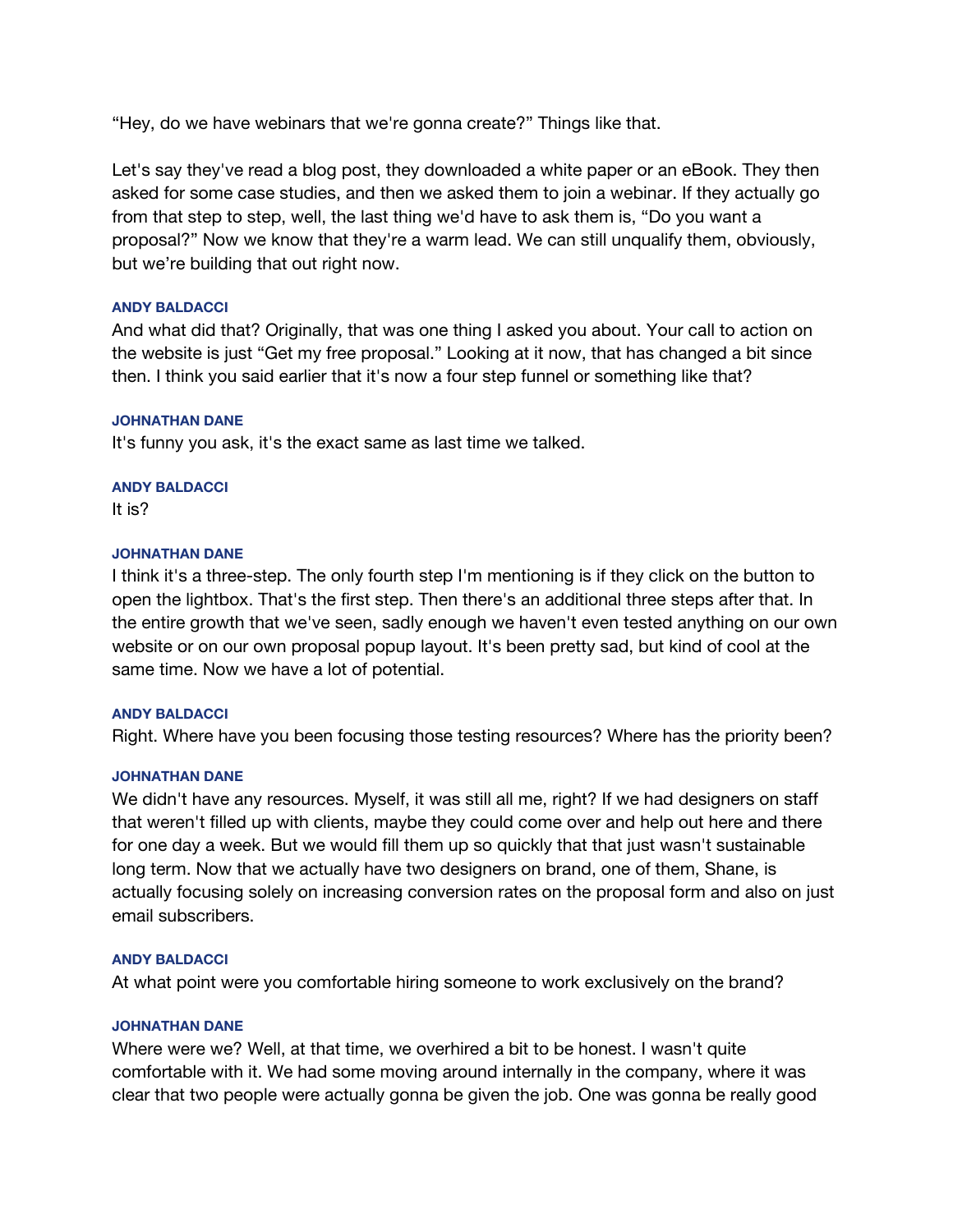"Hey, do we have webinars that we're gonna create?" Things like that.

Let's say they've read a blog post, they downloaded a white paper or an eBook. They then asked for some case studies, and then we asked them to join a webinar. If they actually go from that step to step, well, the last thing we'd have to ask them is, "Do you want a proposal?" Now we know that they're a warm lead. We can still unqualify them, obviously, but we're building that out right now.

## **ANDY BALDACCI**

And what did that? Originally, that was one thing I asked you about. Your call to action on the website is just "Get my free proposal." Looking at it now, that has changed a bit since then. I think you said earlier that it's now a four step funnel or something like that?

## **JOHNATHAN DANE**

It's funny you ask, it's the exact same as last time we talked.

## **ANDY BALDACCI**

It is?

## **JOHNATHAN DANE**

I think it's a three-step. The only fourth step I'm mentioning is if they click on the button to open the lightbox. That's the first step. Then there's an additional three steps after that. In the entire growth that we've seen, sadly enough we haven't even tested anything on our own website or on our own proposal popup layout. It's been pretty sad, but kind of cool at the same time. Now we have a lot of potential.

### **ANDY BALDACCI**

Right. Where have you been focusing those testing resources? Where has the priority been?

## **JOHNATHAN DANE**

We didn't have any resources. Myself, it was still all me, right? If we had designers on staff that weren't filled up with clients, maybe they could come over and help out here and there for one day a week. But we would fill them up so quickly that that just wasn't sustainable long term. Now that we actually have two designers on brand, one of them, Shane, is actually focusing solely on increasing conversion rates on the proposal form and also on just email subscribers.

## **ANDY BALDACCI**

At what point were you comfortable hiring someone to work exclusively on the brand?

## **JOHNATHAN DANE**

Where were we? Well, at that time, we overhired a bit to be honest. I wasn't quite comfortable with it. We had some moving around internally in the company, where it was clear that two people were actually gonna be given the job. One was gonna be really good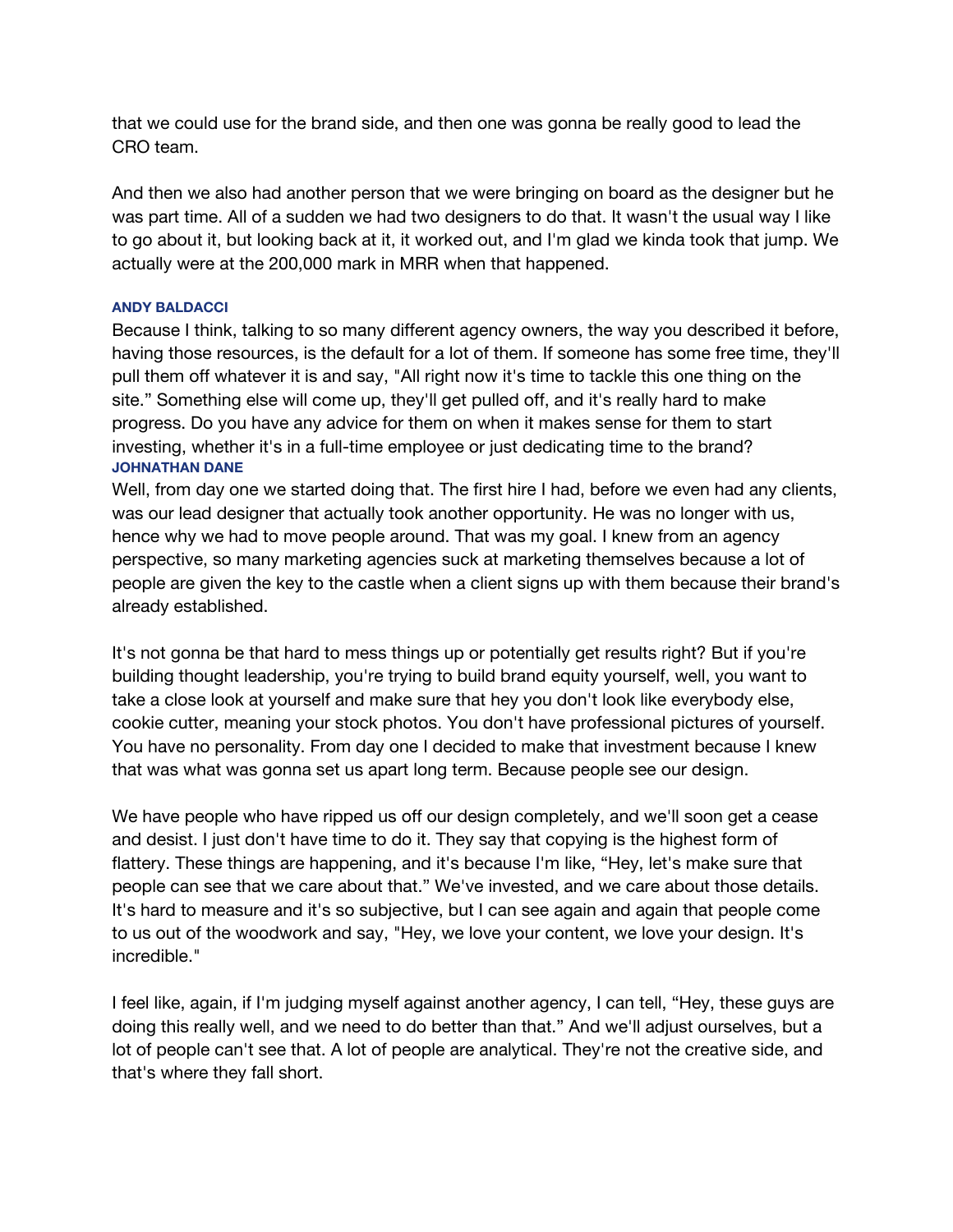that we could use for the brand side, and then one was gonna be really good to lead the CRO team.

And then we also had another person that we were bringing on board as the designer but he was part time. All of a sudden we had two designers to do that. It wasn't the usual way I like to go about it, but looking back at it, it worked out, and I'm glad we kinda took that jump. We actually were at the 200,000 mark in MRR when that happened.

## **ANDY BALDACCI**

Because I think, talking to so many different agency owners, the way you described it before, having those resources, is the default for a lot of them. If someone has some free time, they'll pull them off whatever it is and say, "All right now it's time to tackle this one thing on the site." Something else will come up, they'll get pulled off, and it's really hard to make progress. Do you have any advice for them on when it makes sense for them to start investing, whether it's in a full-time employee or just dedicating time to the brand? **JOHNATHAN DANE**

Well, from day one we started doing that. The first hire I had, before we even had any clients, was our lead designer that actually took another opportunity. He was no longer with us, hence why we had to move people around. That was my goal. I knew from an agency perspective, so many marketing agencies suck at marketing themselves because a lot of people are given the key to the castle when a client signs up with them because their brand's already established.

It's not gonna be that hard to mess things up or potentially get results right? But if you're building thought leadership, you're trying to build brand equity yourself, well, you want to take a close look at yourself and make sure that hey you don't look like everybody else, cookie cutter, meaning your stock photos. You don't have professional pictures of yourself. You have no personality. From day one I decided to make that investment because I knew that was what was gonna set us apart long term. Because people see our design.

We have people who have ripped us off our design completely, and we'll soon get a cease and desist. I just don't have time to do it. They say that copying is the highest form of flattery. These things are happening, and it's because I'm like, "Hey, let's make sure that people can see that we care about that." We've invested, and we care about those details. It's hard to measure and it's so subjective, but I can see again and again that people come to us out of the woodwork and say, "Hey, we love your content, we love your design. It's incredible."

I feel like, again, if I'm judging myself against another agency, I can tell, "Hey, these guys are doing this really well, and we need to do better than that." And we'll adjust ourselves, but a lot of people can't see that. A lot of people are analytical. They're not the creative side, and that's where they fall short.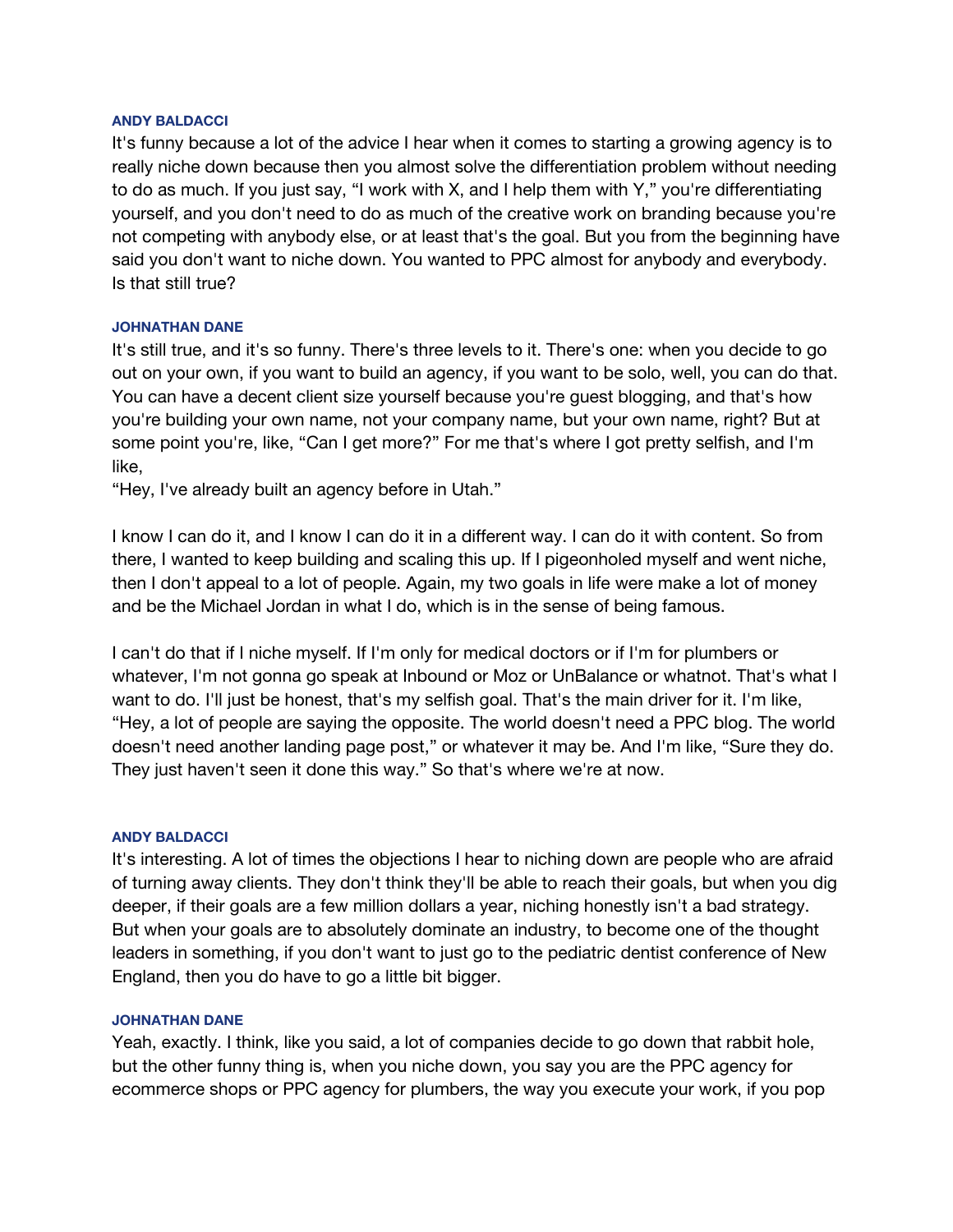### **ANDY BALDACCI**

It's funny because a lot of the advice I hear when it comes to starting a growing agency is to really niche down because then you almost solve the differentiation problem without needing to do as much. If you just say, "I work with X, and I help them with Y," you're differentiating yourself, and you don't need to do as much of the creative work on branding because you're not competing with anybody else, or at least that's the goal. But you from the beginning have said you don't want to niche down. You wanted to PPC almost for anybody and everybody. Is that still true?

## **JOHNATHAN DANE**

It's still true, and it's so funny. There's three levels to it. There's one: when you decide to go out on your own, if you want to build an agency, if you want to be solo, well, you can do that. You can have a decent client size yourself because you're guest blogging, and that's how you're building your own name, not your company name, but your own name, right? But at some point you're, like, "Can I get more?" For me that's where I got pretty selfish, and I'm like,

"Hey, I've already built an agency before in Utah."

I know I can do it, and I know I can do it in a different way. I can do it with content. So from there, I wanted to keep building and scaling this up. If I pigeonholed myself and went niche, then I don't appeal to a lot of people. Again, my two goals in life were make a lot of money and be the Michael Jordan in what I do, which is in the sense of being famous.

I can't do that if I niche myself. If I'm only for medical doctors or if I'm for plumbers or whatever, I'm not gonna go speak at Inbound or Moz or UnBalance or whatnot. That's what I want to do. I'll just be honest, that's my selfish goal. That's the main driver for it. I'm like, "Hey, a lot of people are saying the opposite. The world doesn't need a PPC blog. The world doesn't need another landing page post," or whatever it may be. And I'm like, "Sure they do. They just haven't seen it done this way." So that's where we're at now.

### **ANDY BALDACCI**

It's interesting. A lot of times the objections I hear to niching down are people who are afraid of turning away clients. They don't think they'll be able to reach their goals, but when you dig deeper, if their goals are a few million dollars a year, niching honestly isn't a bad strategy. But when your goals are to absolutely dominate an industry, to become one of the thought leaders in something, if you don't want to just go to the pediatric dentist conference of New England, then you do have to go a little bit bigger.

### **JOHNATHAN DANE**

Yeah, exactly. I think, like you said, a lot of companies decide to go down that rabbit hole, but the other funny thing is, when you niche down, you say you are the PPC agency for ecommerce shops or PPC agency for plumbers, the way you execute your work, if you pop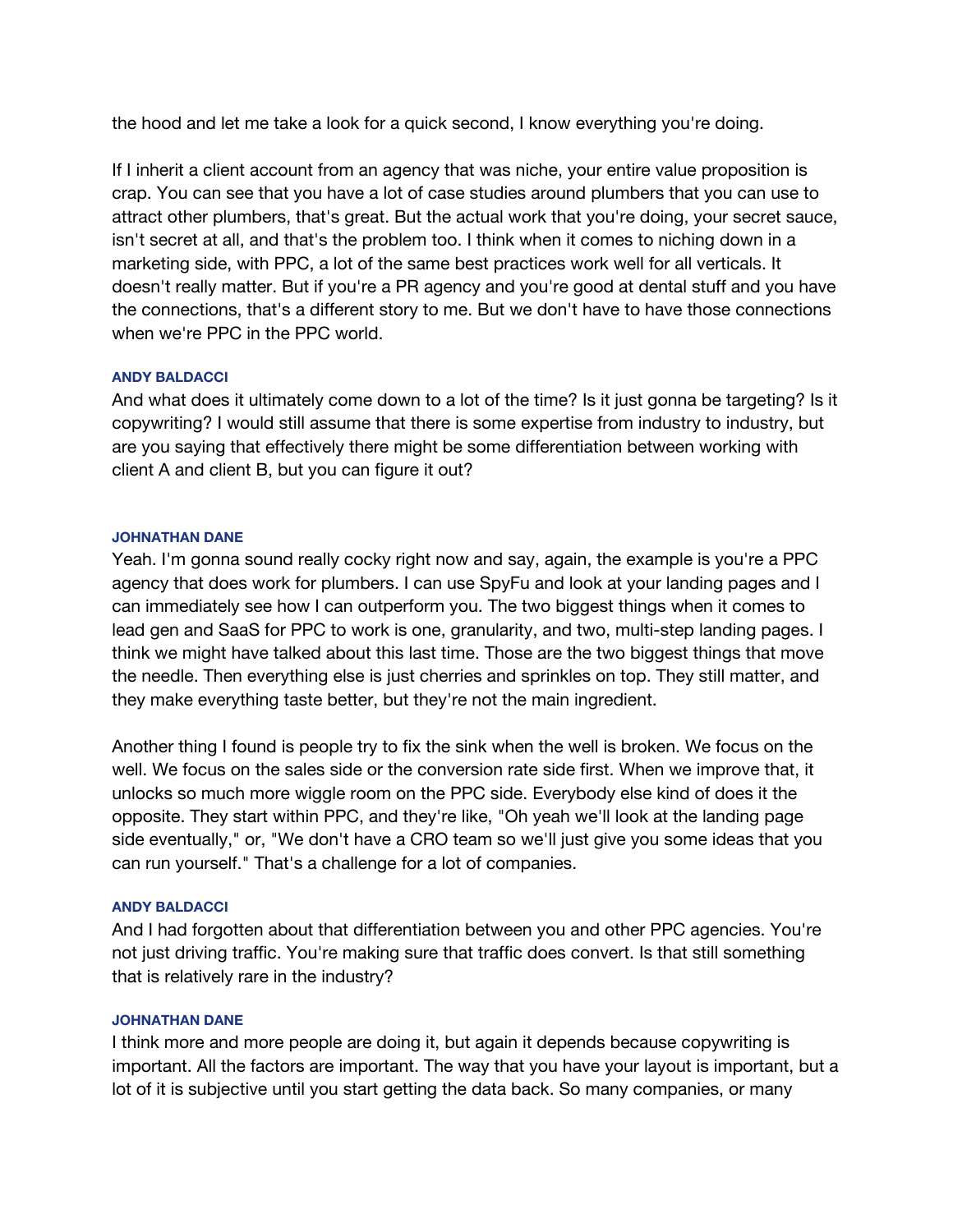the hood and let me take a look for a quick second, I know everything you're doing.

If I inherit a client account from an agency that was niche, your entire value proposition is crap. You can see that you have a lot of case studies around plumbers that you can use to attract other plumbers, that's great. But the actual work that you're doing, your secret sauce, isn't secret at all, and that's the problem too. I think when it comes to niching down in a marketing side, with PPC, a lot of the same best practices work well for all verticals. It doesn't really matter. But if you're a PR agency and you're good at dental stuff and you have the connections, that's a different story to me. But we don't have to have those connections when we're PPC in the PPC world.

## **ANDY BALDACCI**

And what does it ultimately come down to a lot of the time? Is it just gonna be targeting? Is it copywriting? I would still assume that there is some expertise from industry to industry, but are you saying that effectively there might be some differentiation between working with client A and client B, but you can figure it out?

## **JOHNATHAN DANE**

Yeah. I'm gonna sound really cocky right now and say, again, the example is you're a PPC agency that does work for plumbers. I can use SpyFu and look at your landing pages and I can immediately see how I can outperform you. The two biggest things when it comes to lead gen and SaaS for PPC to work is one, granularity, and two, multi-step landing pages. I think we might have talked about this last time. Those are the two biggest things that move the needle. Then everything else is just cherries and sprinkles on top. They still matter, and they make everything taste better, but they're not the main ingredient.

Another thing I found is people try to fix the sink when the well is broken. We focus on the well. We focus on the sales side or the conversion rate side first. When we improve that, it unlocks so much more wiggle room on the PPC side. Everybody else kind of does it the opposite. They start within PPC, and they're like, "Oh yeah we'll look at the landing page side eventually," or, "We don't have a CRO team so we'll just give you some ideas that you can run yourself." That's a challenge for a lot of companies.

## **ANDY BALDACCI**

And I had forgotten about that differentiation between you and other PPC agencies. You're not just driving traffic. You're making sure that traffic does convert. Is that still something that is relatively rare in the industry?

## **JOHNATHAN DANE**

I think more and more people are doing it, but again it depends because copywriting is important. All the factors are important. The way that you have your layout is important, but a lot of it is subjective until you start getting the data back. So many companies, or many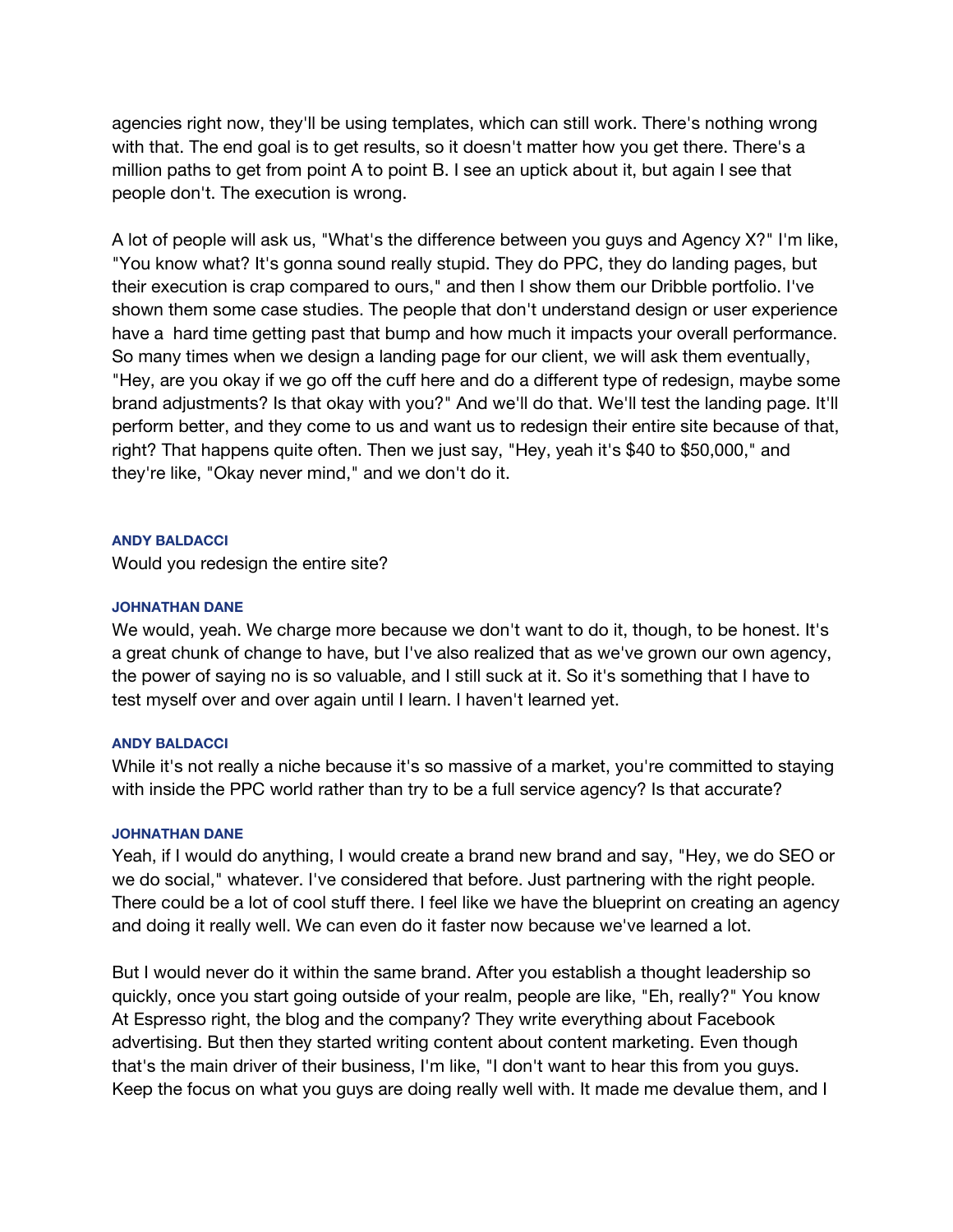agencies right now, they'll be using templates, which can still work. There's nothing wrong with that. The end goal is to get results, so it doesn't matter how you get there. There's a million paths to get from point A to point B. I see an uptick about it, but again I see that people don't. The execution is wrong.

A lot of people will ask us, "What's the difference between you guys and Agency X?" I'm like, "You know what? It's gonna sound really stupid. They do PPC, they do landing pages, but their execution is crap compared to ours," and then I show them our Dribble portfolio. I've shown them some case studies. The people that don't understand design or user experience have a hard time getting past that bump and how much it impacts your overall performance. So many times when we design a landing page for our client, we will ask them eventually, "Hey, are you okay if we go off the cuff here and do a different type of redesign, maybe some brand adjustments? Is that okay with you?" And we'll do that. We'll test the landing page. It'll perform better, and they come to us and want us to redesign their entire site because of that, right? That happens quite often. Then we just say, "Hey, yeah it's \$40 to \$50,000," and they're like, "Okay never mind," and we don't do it.

## **ANDY BALDACCI**

Would you redesign the entire site?

## **JOHNATHAN DANE**

We would, yeah. We charge more because we don't want to do it, though, to be honest. It's a great chunk of change to have, but I've also realized that as we've grown our own agency, the power of saying no is so valuable, and I still suck at it. So it's something that I have to test myself over and over again until I learn. I haven't learned yet.

### **ANDY BALDACCI**

While it's not really a niche because it's so massive of a market, you're committed to staying with inside the PPC world rather than try to be a full service agency? Is that accurate?

### **JOHNATHAN DANE**

Yeah, if I would do anything, I would create a brand new brand and say, "Hey, we do SEO or we do social," whatever. I've considered that before. Just partnering with the right people. There could be a lot of cool stuff there. I feel like we have the blueprint on creating an agency and doing it really well. We can even do it faster now because we've learned a lot.

But I would never do it within the same brand. After you establish a thought leadership so quickly, once you start going outside of your realm, people are like, "Eh, really?" You know At Espresso right, the blog and the company? They write everything about Facebook advertising. But then they started writing content about content marketing. Even though that's the main driver of their business, I'm like, "I don't want to hear this from you guys. Keep the focus on what you guys are doing really well with. It made me devalue them, and I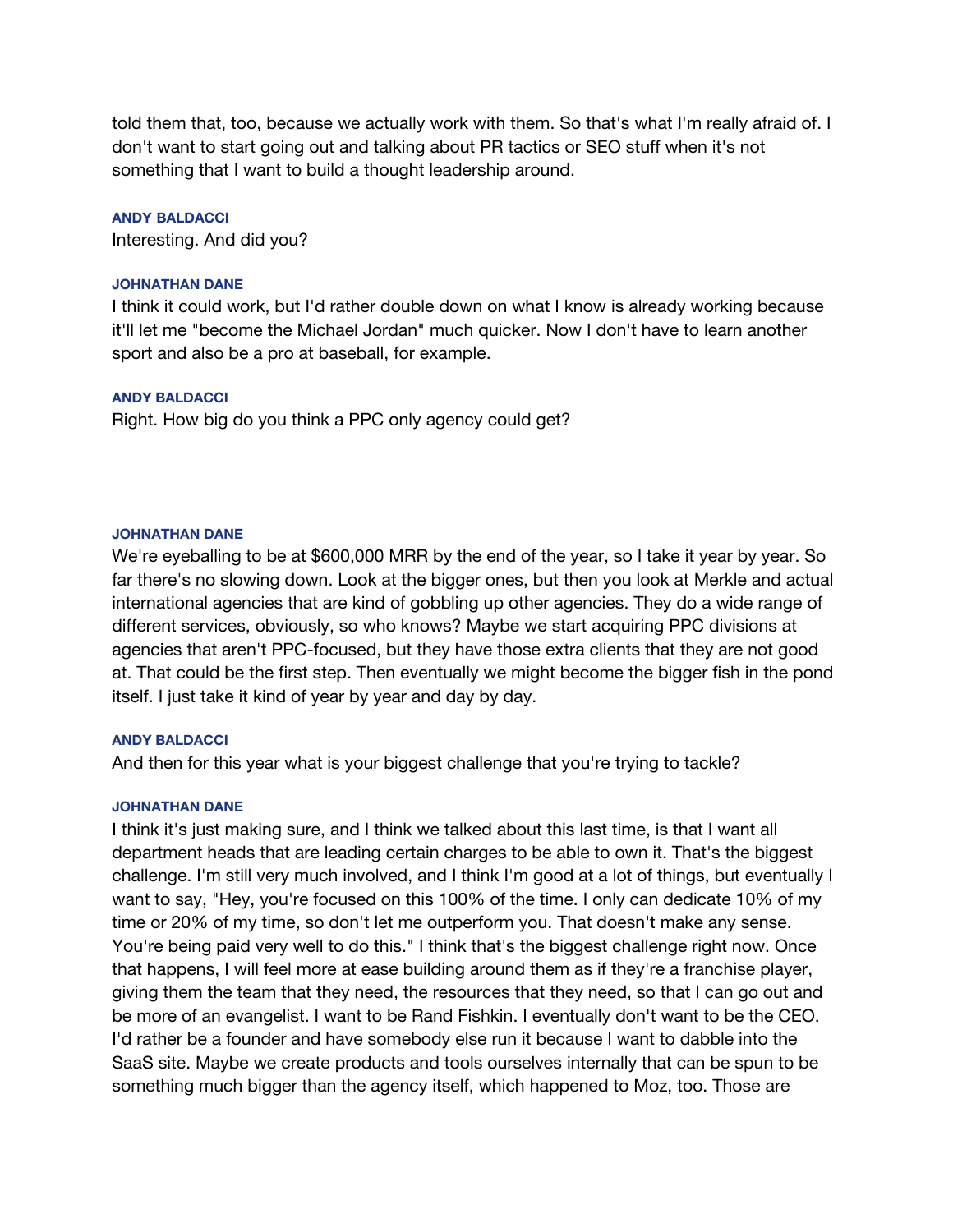told them that, too, because we actually work with them. So that's what I'm really afraid of. I don't want to start going out and talking about PR tactics or SEO stuff when it's not something that I want to build a thought leadership around.

### **ANDY BALDACCI**

Interesting. And did you?

### **JOHNATHAN DANE**

I think it could work, but I'd rather double down on what I know is already working because it'll let me "become the Michael Jordan" much quicker. Now I don't have to learn another sport and also be a pro at baseball, for example.

### **ANDY BALDACCI**

Right. How big do you think a PPC only agency could get?

### **JOHNATHAN DANE**

We're eyeballing to be at \$600,000 MRR by the end of the year, so I take it year by year. So far there's no slowing down. Look at the bigger ones, but then you look at Merkle and actual international agencies that are kind of gobbling up other agencies. They do a wide range of different services, obviously, so who knows? Maybe we start acquiring PPC divisions at agencies that aren't PPC-focused, but they have those extra clients that they are not good at. That could be the first step. Then eventually we might become the bigger fish in the pond itself. I just take it kind of year by year and day by day.

### **ANDY BALDACCI**

And then for this year what is your biggest challenge that you're trying to tackle?

## **JOHNATHAN DANE**

I think it's just making sure, and I think we talked about this last time, is that I want all department heads that are leading certain charges to be able to own it. That's the biggest challenge. I'm still very much involved, and I think I'm good at a lot of things, but eventually I want to say, "Hey, you're focused on this 100% of the time. I only can dedicate 10% of my time or 20% of my time, so don't let me outperform you. That doesn't make any sense. You're being paid very well to do this." I think that's the biggest challenge right now. Once that happens, I will feel more at ease building around them as if they're a franchise player, giving them the team that they need, the resources that they need, so that I can go out and be more of an evangelist. I want to be Rand Fishkin. I eventually don't want to be the CEO. I'd rather be a founder and have somebody else run it because I want to dabble into the SaaS site. Maybe we create products and tools ourselves internally that can be spun to be something much bigger than the agency itself, which happened to Moz, too. Those are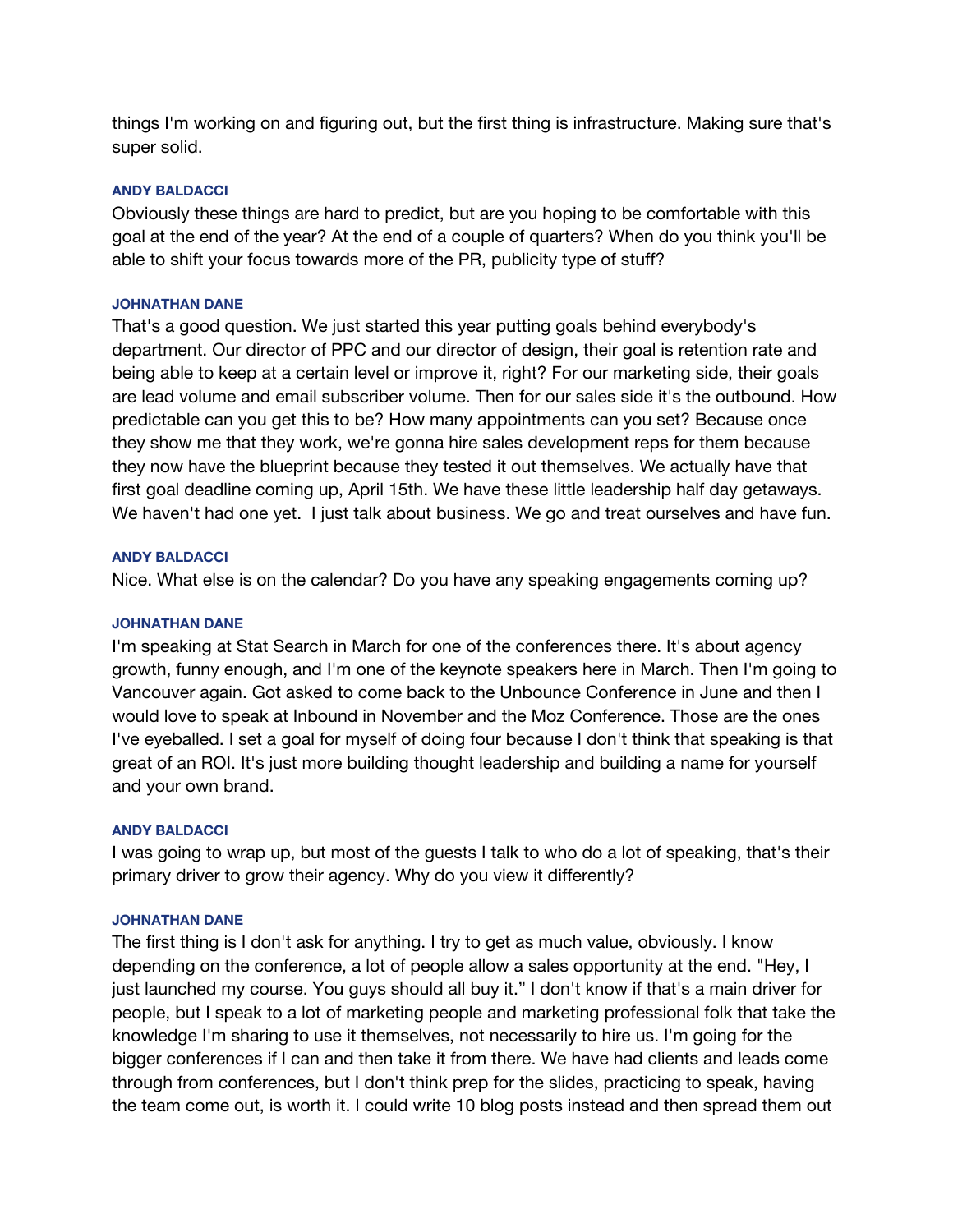things I'm working on and figuring out, but the first thing is infrastructure. Making sure that's super solid.

### **ANDY BALDACCI**

Obviously these things are hard to predict, but are you hoping to be comfortable with this goal at the end of the year? At the end of a couple of quarters? When do you think you'll be able to shift your focus towards more of the PR, publicity type of stuff?

## **JOHNATHAN DANE**

That's a good question. We just started this year putting goals behind everybody's department. Our director of PPC and our director of design, their goal is retention rate and being able to keep at a certain level or improve it, right? For our marketing side, their goals are lead volume and email subscriber volume. Then for our sales side it's the outbound. How predictable can you get this to be? How many appointments can you set? Because once they show me that they work, we're gonna hire sales development reps for them because they now have the blueprint because they tested it out themselves. We actually have that first goal deadline coming up, April 15th. We have these little leadership half day getaways. We haven't had one yet. I just talk about business. We go and treat ourselves and have fun.

## **ANDY BALDACCI**

Nice. What else is on the calendar? Do you have any speaking engagements coming up?

## **JOHNATHAN DANE**

I'm speaking at Stat Search in March for one of the conferences there. It's about agency growth, funny enough, and I'm one of the keynote speakers here in March. Then I'm going to Vancouver again. Got asked to come back to the Unbounce Conference in June and then I would love to speak at Inbound in November and the Moz Conference. Those are the ones I've eyeballed. I set a goal for myself of doing four because I don't think that speaking is that great of an ROI. It's just more building thought leadership and building a name for yourself and your own brand.

## **ANDY BALDACCI**

I was going to wrap up, but most of the guests I talk to who do a lot of speaking, that's their primary driver to grow their agency. Why do you view it differently?

### **JOHNATHAN DANE**

The first thing is I don't ask for anything. I try to get as much value, obviously. I know depending on the conference, a lot of people allow a sales opportunity at the end. "Hey, I just launched my course. You guys should all buy it." I don't know if that's a main driver for people, but I speak to a lot of marketing people and marketing professional folk that take the knowledge I'm sharing to use it themselves, not necessarily to hire us. I'm going for the bigger conferences if I can and then take it from there. We have had clients and leads come through from conferences, but I don't think prep for the slides, practicing to speak, having the team come out, is worth it. I could write 10 blog posts instead and then spread them out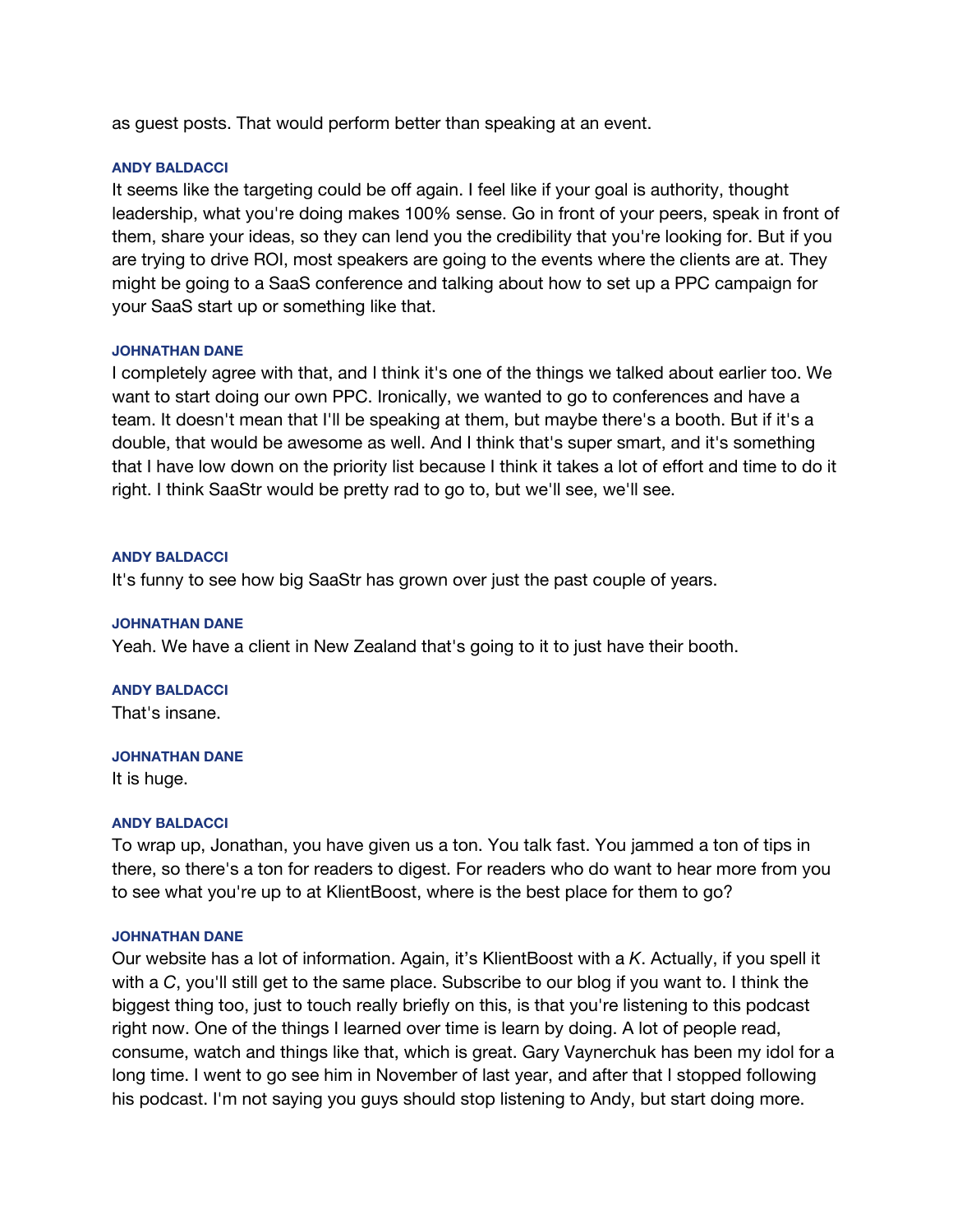as guest posts. That would perform better than speaking at an event.

## **ANDY BALDACCI**

It seems like the targeting could be off again. I feel like if your goal is authority, thought leadership, what you're doing makes 100% sense. Go in front of your peers, speak in front of them, share your ideas, so they can lend you the credibility that you're looking for. But if you are trying to drive ROI, most speakers are going to the events where the clients are at. They might be going to a SaaS conference and talking about how to set up a PPC campaign for your SaaS start up or something like that.

## **JOHNATHAN DANE**

I completely agree with that, and I think it's one of the things we talked about earlier too. We want to start doing our own PPC. Ironically, we wanted to go to conferences and have a team. It doesn't mean that I'll be speaking at them, but maybe there's a booth. But if it's a double, that would be awesome as well. And I think that's super smart, and it's something that I have low down on the priority list because I think it takes a lot of effort and time to do it right. I think SaaStr would be pretty rad to go to, but we'll see, we'll see.

## **ANDY BALDACCI**

It's funny to see how big SaaStr has grown over just the past couple of years.

## **JOHNATHAN DANE**

Yeah. We have a client in New Zealand that's going to it to just have their booth.

## **ANDY BALDACCI**

That's insane.

### **JOHNATHAN DANE**

It is huge.

## **ANDY BALDACCI**

To wrap up, Jonathan, you have given us a ton. You talk fast. You jammed a ton of tips in there, so there's a ton for readers to digest. For readers who do want to hear more from you to see what you're up to at KlientBoost, where is the best place for them to go?

### **JOHNATHAN DANE**

Our website has a lot of information. Again, it's KlientBoost with a *K*. Actually, if you spell it with a *C*, you'll still get to the same place. Subscribe to our blog if you want to. I think the biggest thing too, just to touch really briefly on this, is that you're listening to this podcast right now. One of the things I learned over time is learn by doing. A lot of people read, consume, watch and things like that, which is great. Gary Vaynerchuk has been my idol for a long time. I went to go see him in November of last year, and after that I stopped following his podcast. I'm not saying you guys should stop listening to Andy, but start doing more.